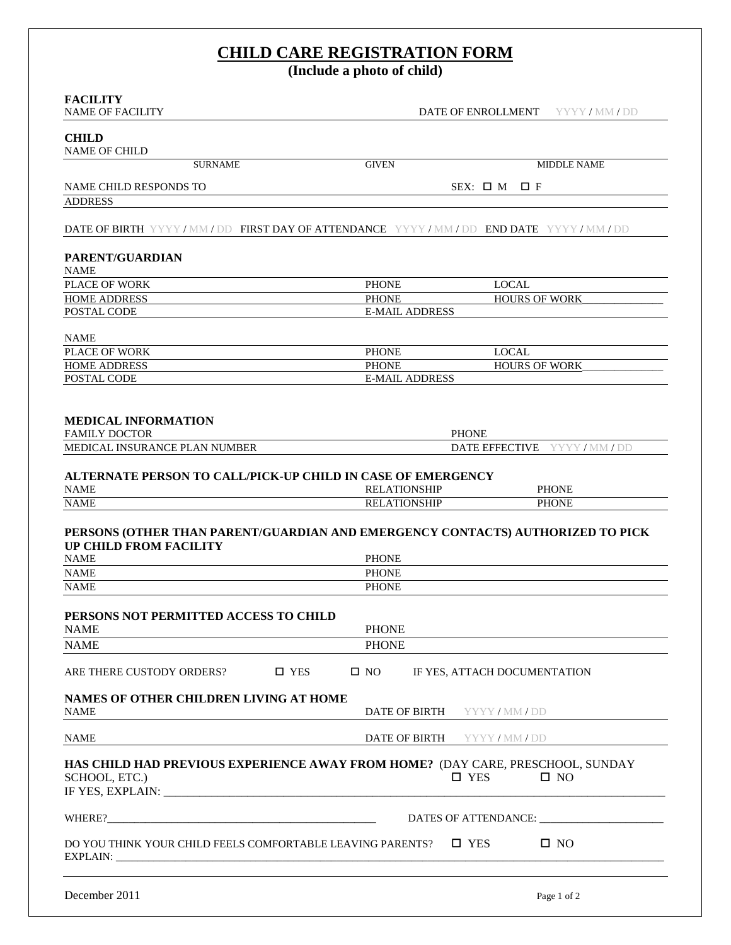# **CHILD CARE REGISTRATION FORM**

**(Include a photo of child)**

| <b>FACILITY</b><br><b>NAME OF FACILITY</b>                                                                                                                                                                                                                                                                                                                                                                                           |                                       | DATE OF ENROLLMENT<br>YYYY/MM/DD |
|--------------------------------------------------------------------------------------------------------------------------------------------------------------------------------------------------------------------------------------------------------------------------------------------------------------------------------------------------------------------------------------------------------------------------------------|---------------------------------------|----------------------------------|
| <b>CHILD</b><br><b>NAME OF CHILD</b>                                                                                                                                                                                                                                                                                                                                                                                                 |                                       |                                  |
| <b>SURNAME</b>                                                                                                                                                                                                                                                                                                                                                                                                                       | <b>GIVEN</b>                          | <b>MIDDLE NAME</b>               |
|                                                                                                                                                                                                                                                                                                                                                                                                                                      |                                       |                                  |
| NAME CHILD RESPONDS TO                                                                                                                                                                                                                                                                                                                                                                                                               |                                       | $SEX: \Box M$<br>$\square$ F     |
| <b>ADDRESS</b>                                                                                                                                                                                                                                                                                                                                                                                                                       |                                       |                                  |
| DATE OF BIRTH YYYY / MM / DD FIRST DAY OF ATTENDANCE YYYY / MM / DD END DATE YYYY / MM / DD                                                                                                                                                                                                                                                                                                                                          |                                       |                                  |
| <b>PARENT/GUARDIAN</b><br><b>NAME</b>                                                                                                                                                                                                                                                                                                                                                                                                |                                       |                                  |
| <b>PLACE OF WORK</b>                                                                                                                                                                                                                                                                                                                                                                                                                 | <b>PHONE</b>                          | <b>LOCAL</b>                     |
| <b>HOME ADDRESS</b>                                                                                                                                                                                                                                                                                                                                                                                                                  | <b>PHONE</b>                          | <b>HOURS OF WORK</b>             |
| POSTAL CODE                                                                                                                                                                                                                                                                                                                                                                                                                          | <b>E-MAIL ADDRESS</b>                 |                                  |
|                                                                                                                                                                                                                                                                                                                                                                                                                                      |                                       |                                  |
| <b>NAME</b>                                                                                                                                                                                                                                                                                                                                                                                                                          |                                       |                                  |
| <b>PLACE OF WORK</b>                                                                                                                                                                                                                                                                                                                                                                                                                 | <b>PHONE</b>                          | <b>LOCAL</b>                     |
| <b>HOME ADDRESS</b>                                                                                                                                                                                                                                                                                                                                                                                                                  | <b>PHONE</b><br><b>E-MAIL ADDRESS</b> | <b>HOURS OF WORK</b>             |
| POSTAL CODE                                                                                                                                                                                                                                                                                                                                                                                                                          |                                       |                                  |
| <b>MEDICAL INFORMATION</b><br><b>FAMILY DOCTOR</b>                                                                                                                                                                                                                                                                                                                                                                                   | <b>PHONE</b>                          |                                  |
|                                                                                                                                                                                                                                                                                                                                                                                                                                      |                                       | DATE EFFECTIVE YYYY/MM/DD        |
|                                                                                                                                                                                                                                                                                                                                                                                                                                      |                                       |                                  |
|                                                                                                                                                                                                                                                                                                                                                                                                                                      | <b>RELATIONSHIP</b>                   | <b>PHONE</b>                     |
| MEDICAL INSURANCE PLAN NUMBER<br>ALTERNATE PERSON TO CALL/PICK-UP CHILD IN CASE OF EMERGENCY<br><b>NAME</b><br><b>NAME</b>                                                                                                                                                                                                                                                                                                           | <b>RELATIONSHIP</b>                   | <b>PHONE</b>                     |
|                                                                                                                                                                                                                                                                                                                                                                                                                                      |                                       |                                  |
|                                                                                                                                                                                                                                                                                                                                                                                                                                      | <b>PHONE</b>                          |                                  |
|                                                                                                                                                                                                                                                                                                                                                                                                                                      | <b>PHONE</b>                          |                                  |
|                                                                                                                                                                                                                                                                                                                                                                                                                                      | <b>PHONE</b>                          |                                  |
|                                                                                                                                                                                                                                                                                                                                                                                                                                      | <b>PHONE</b>                          |                                  |
|                                                                                                                                                                                                                                                                                                                                                                                                                                      | <b>PHONE</b>                          |                                  |
| □ YES                                                                                                                                                                                                                                                                                                                                                                                                                                | $\square$ NO                          | IF YES, ATTACH DOCUMENTATION     |
|                                                                                                                                                                                                                                                                                                                                                                                                                                      | DATE OF BIRTH                         | YYYY/MM/DD                       |
|                                                                                                                                                                                                                                                                                                                                                                                                                                      | DATE OF BIRTH                         | YYYY/MM/DD                       |
|                                                                                                                                                                                                                                                                                                                                                                                                                                      | $\square$ YES                         | $\square$ NO                     |
| PERSONS (OTHER THAN PARENT/GUARDIAN AND EMERGENCY CONTACTS) AUTHORIZED TO PICK<br>UP CHILD FROM FACILITY<br><b>NAME</b><br><b>NAME</b><br><b>NAME</b><br>PERSONS NOT PERMITTED ACCESS TO CHILD<br><b>NAME</b><br><b>NAME</b><br>ARE THERE CUSTODY ORDERS?<br>NAMES OF OTHER CHILDREN LIVING AT HOME<br><b>NAME</b><br><b>NAME</b><br>HAS CHILD HAD PREVIOUS EXPERIENCE AWAY FROM HOME? (DAY CARE, PRESCHOOL, SUNDAY<br>SCHOOL, ETC.) |                                       | DATES OF ATTENDANCE:             |